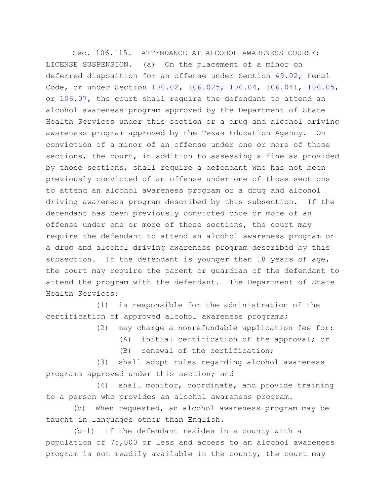Sec. 106.115. ATTENDANCE AT ALCOHOL AWARENESS COURSE; LICENSE SUSPENSION. (a) On the placement of a minor on deferred disposition for an offense under Section [49.02,](http://www.statutes.legis.state.tx.us/GetStatute.aspx?Code=PE&Value=49.02&Date=6/26/2014) Penal Code, or under Section [106.02,](http://www.statutes.legis.state.tx.us/GetStatute.aspx?Code=AL&Value=106.02&Date=6/26/2014) [106.025,](http://www.statutes.legis.state.tx.us/GetStatute.aspx?Code=AL&Value=106.025&Date=6/26/2014) [106.04,](http://www.statutes.legis.state.tx.us/GetStatute.aspx?Code=AL&Value=106.04&Date=6/26/2014) [106.041,](http://www.statutes.legis.state.tx.us/GetStatute.aspx?Code=AL&Value=106.041&Date=6/26/2014) [106.05,](http://www.statutes.legis.state.tx.us/GetStatute.aspx?Code=AL&Value=106.05&Date=6/26/2014) or [106.07,](http://www.statutes.legis.state.tx.us/GetStatute.aspx?Code=AL&Value=106.07&Date=6/26/2014) the court shall require the defendant to attend an alcohol awareness program approved by the Department of State Health Services under this section or a drug and alcohol driving awareness program approved by the Texas Education Agency. On conviction of a minor of an offense under one or more of those sections, the court, in addition to assessing a fine as provided by those sections, shall require a defendant who has not been previously convicted of an offense under one of those sections to attend an alcohol awareness program or a drug and alcohol driving awareness program described by this subsection. If the defendant has been previously convicted once or more of an offense under one or more of those sections, the court may require the defendant to attend an alcohol awareness program or a drug and alcohol driving awareness program described by this subsection. If the defendant is younger than 18 years of age, the court may require the parent or guardian of the defendant to attend the program with the defendant. The Department of State Health Services:

(1) is responsible for the administration of the certification of approved alcohol awareness programs;

(2) may charge a nonrefundable application fee for:

- (A) initial certification of the approval; or
- (B) renewal of the certification;

(3) shall adopt rules regarding alcohol awareness programs approved under this section; and

(4) shall monitor, coordinate, and provide training to a person who provides an alcohol awareness program.

(b) When requested, an alcohol awareness program may be taught in languages other than English.

(b-1) If the defendant resides in a county with a population of 75,000 or less and access to an alcohol awareness program is not readily available in the county, the court may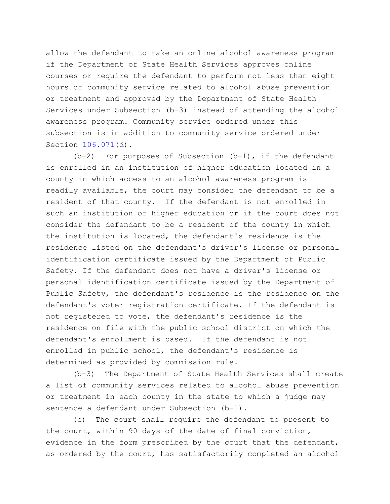allow the defendant to take an online alcohol awareness program if the Department of State Health Services approves online courses or require the defendant to perform not less than eight hours of community service related to alcohol abuse prevention or treatment and approved by the Department of State Health Services under Subsection (b-3) instead of attending the alcohol awareness program. Community service ordered under this subsection is in addition to community service ordered under Section [106.071\(](http://www.statutes.legis.state.tx.us/GetStatute.aspx?Code=AL&Value=106.071&Date=6/26/2014)d).

(b-2) For purposes of Subsection (b-1), if the defendant is enrolled in an institution of higher education located in a county in which access to an alcohol awareness program is readily available, the court may consider the defendant to be a resident of that county. If the defendant is not enrolled in such an institution of higher education or if the court does not consider the defendant to be a resident of the county in which the institution is located, the defendant's residence is the residence listed on the defendant's driver's license or personal identification certificate issued by the Department of Public Safety. If the defendant does not have a driver's license or personal identification certificate issued by the Department of Public Safety, the defendant's residence is the residence on the defendant's voter registration certificate. If the defendant is not registered to vote, the defendant's residence is the residence on file with the public school district on which the defendant's enrollment is based. If the defendant is not enrolled in public school, the defendant's residence is determined as provided by commission rule.

(b-3) The Department of State Health Services shall create a list of community services related to alcohol abuse prevention or treatment in each county in the state to which a judge may sentence a defendant under Subsection (b-1).

(c) The court shall require the defendant to present to the court, within 90 days of the date of final conviction, evidence in the form prescribed by the court that the defendant, as ordered by the court, has satisfactorily completed an alcohol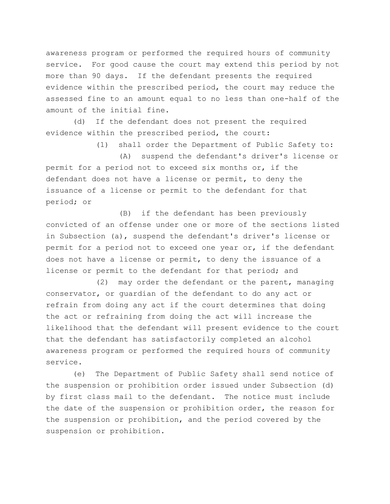awareness program or performed the required hours of community service. For good cause the court may extend this period by not more than 90 days. If the defendant presents the required evidence within the prescribed period, the court may reduce the assessed fine to an amount equal to no less than one-half of the amount of the initial fine.

(d) If the defendant does not present the required evidence within the prescribed period, the court:

period; or

(1) shall order the Department of Public Safety to: (A) suspend the defendant's driver's license or permit for a period not to exceed six months or, if the defendant does not have a license or permit, to deny the issuance of a license or permit to the defendant for that

(B) if the defendant has been previously convicted of an offense under one or more of the sections listed in Subsection (a), suspend the defendant's driver's license or permit for a period not to exceed one year or, if the defendant does not have a license or permit, to deny the issuance of a license or permit to the defendant for that period; and

(2) may order the defendant or the parent, managing conservator, or guardian of the defendant to do any act or refrain from doing any act if the court determines that doing the act or refraining from doing the act will increase the likelihood that the defendant will present evidence to the court that the defendant has satisfactorily completed an alcohol awareness program or performed the required hours of community service.

(e) The Department of Public Safety shall send notice of the suspension or prohibition order issued under Subsection (d) by first class mail to the defendant. The notice must include the date of the suspension or prohibition order, the reason for the suspension or prohibition, and the period covered by the suspension or prohibition.